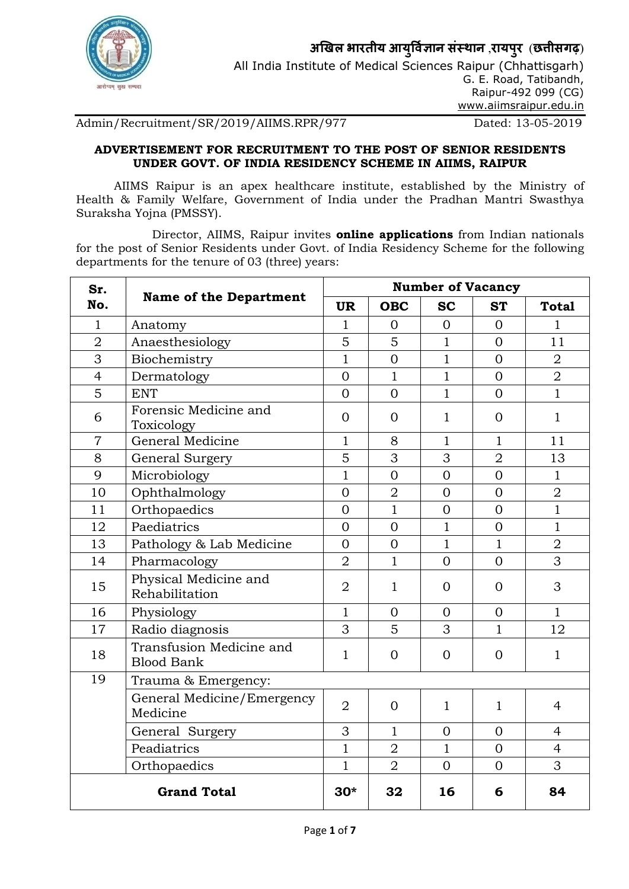

अखिल भारतीय आयुर्विज्ञान संस्थान ,रायपुर (छत्तीसगढ़) All India Institute of Medical Sciences Raipur (Chhattisgarh) G. E. Road, Tatibandh, Raipur-492 099 (CG) www.aiimsraipur.edu.in

## Admin/Recruitment/SR/2019/AIIMS.RPR/977 Dated: 13-05-2019

### ADVERTISEMENT FOR RECRUITMENT TO THE POST OF SENIOR RESIDENTS UNDER GOVT. OF INDIA RESIDENCY SCHEME IN AIIMS, RAIPUR

AIIMS Raipur is an apex healthcare institute, established by the Ministry of Health & Family Welfare, Government of India under the Pradhan Mantri Swasthya Suraksha Yojna (PMSSY).

Director, AIIMS, Raipur invites online applications from Indian nationals for the post of Senior Residents under Govt. of India Residency Scheme for the following departments for the tenure of 03 (three) years:

| Sr.<br>No.     |                                               | <b>Number of Vacancy</b> |                |                |                |                |
|----------------|-----------------------------------------------|--------------------------|----------------|----------------|----------------|----------------|
|                | <b>Name of the Department</b>                 | <b>UR</b>                | <b>OBC</b>     | <b>SC</b>      | <b>ST</b>      | <b>Total</b>   |
| 1              | Anatomy                                       | 1                        | $\Omega$       | $\Omega$       | $\Omega$       | 1              |
| $\overline{2}$ | Anaesthesiology                               | 5                        | 5              | $\mathbf{1}$   | $\Omega$       | 11             |
| 3              | Biochemistry                                  | $\mathbf{1}$             | $\Omega$       | $\mathbf{1}$   | $\Omega$       | $\overline{2}$ |
| $\overline{4}$ | Dermatology                                   | $\overline{0}$           | $\mathbf{1}$   | $\mathbf{1}$   | $\Omega$       | $\overline{2}$ |
| 5              | <b>ENT</b>                                    | $\Omega$                 | $\overline{0}$ | $\mathbf{1}$   | $\Omega$       | $\mathbf{1}$   |
| 6              | Forensic Medicine and<br>Toxicology           | $\overline{0}$           | $\Omega$       | $\mathbf{1}$   | $\overline{0}$ | $\mathbf{1}$   |
| 7              | General Medicine                              | $\mathbf{1}$             | 8              | $\mathbf{1}$   | $\mathbf{1}$   | 11             |
| 8              | General Surgery                               | 5                        | 3              | 3              | $\overline{2}$ | 13             |
| 9              | Microbiology                                  | $\mathbf{1}$             | $\overline{0}$ | $\overline{0}$ | $\overline{0}$ | $\mathbf{1}$   |
| 10             | Ophthalmology                                 | $\overline{0}$           | $\overline{2}$ | $\overline{0}$ | $\overline{0}$ | $\overline{2}$ |
| 11             | Orthopaedics                                  | $\Omega$                 | $\mathbf{1}$   | $\overline{0}$ | $\Omega$       | $\mathbf{1}$   |
| 12             | Paediatrics                                   | $\Omega$                 | $\overline{0}$ | $\mathbf{1}$   | $\Omega$       | $\mathbf{1}$   |
| 13             | Pathology & Lab Medicine                      | $\Omega$                 | $\Omega$       | $\mathbf{1}$   | $\mathbf{1}$   | $\overline{2}$ |
| 14             | Pharmacology                                  | $\overline{2}$           | $\mathbf{1}$   | $\overline{0}$ | $\Omega$       | 3              |
| 15             | Physical Medicine and<br>Rehabilitation       | $\overline{2}$           | $\mathbf{1}$   | $\Omega$       | $\Omega$       | 3              |
| 16             | Physiology                                    | $\mathbf{1}$             | $\Omega$       | $\Omega$       | $\Omega$       | $\mathbf{1}$   |
| 17             | Radio diagnosis                               | 3                        | 5              | 3              | $\mathbf{1}$   | 12             |
| 18             | Transfusion Medicine and<br><b>Blood Bank</b> | $\mathbf{1}$             | $\Omega$       | $\Omega$       | $\overline{0}$ | $\mathbf{1}$   |
| 19             | Trauma & Emergency:                           |                          |                |                |                |                |
|                | General Medicine/Emergency<br>Medicine        | $\overline{2}$           | $\Omega$       | $\mathbf{1}$   | $\mathbf{1}$   | $\overline{4}$ |
|                | General Surgery                               | 3                        | $\mathbf{1}$   | $\Omega$       | $\Omega$       | $\overline{4}$ |
|                | Peadiatrics                                   | $\mathbf{1}$             | $\overline{2}$ | $\mathbf{1}$   | $\overline{0}$ | $\overline{4}$ |
|                | Orthopaedics                                  | $\mathbf{1}$             | $\overline{2}$ | $\overline{0}$ | $\Omega$       | 3              |
|                | <b>Grand Total</b>                            | $30*$                    | 32             | 16             | 6              | 84             |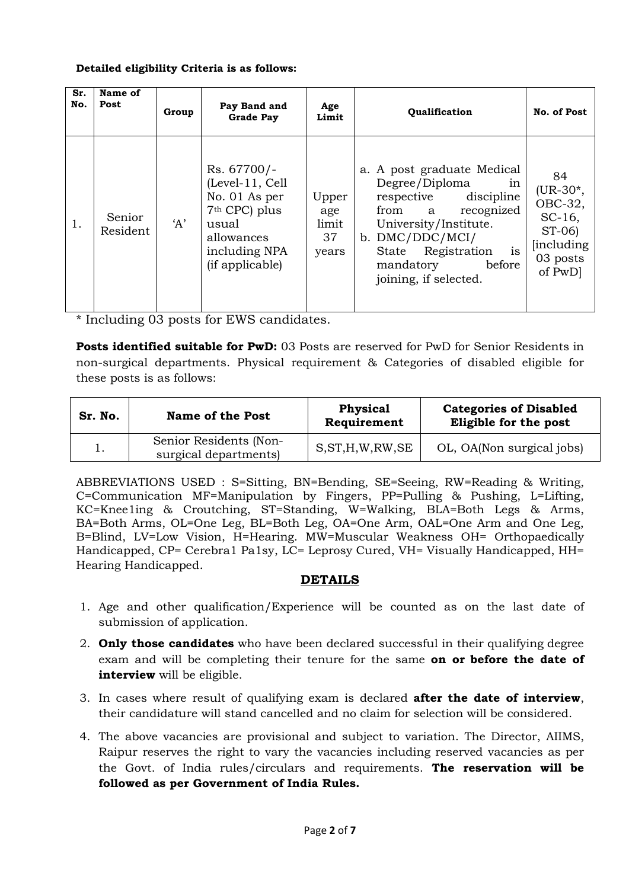#### Detailed eligibility Criteria is as follows:

| Sr.<br>No. | Name of<br>Post    | Group | Pay Band and<br><b>Grade Pay</b>                                                                                                        | Age<br>Limit                         | <b>Qualification</b>                                                                                                                                                                                                           | No. of Post                                                                                     |
|------------|--------------------|-------|-----------------------------------------------------------------------------------------------------------------------------------------|--------------------------------------|--------------------------------------------------------------------------------------------------------------------------------------------------------------------------------------------------------------------------------|-------------------------------------------------------------------------------------------------|
| 1.         | Senior<br>Resident | A'    | Rs. 67700/-<br>(Level-11, Cell<br>No. 01 As per<br>7 <sup>th</sup> CPC) plus<br>usual<br>allowances<br>including NPA<br>(if applicable) | Upper<br>age<br>limit<br>37<br>years | a. A post graduate Medical<br>Degree/Diploma<br>in<br>respective<br>discipline<br>from a<br>recognized<br>University/Institute.<br>b. DMC/DDC/MCI/<br>is<br>State Registration<br>mandatory<br>before<br>joining, if selected. | 84<br>$(UR-30*,$<br>OBC-32,<br>$SC-16$ ,<br>$ST-06$<br><i>lincluding</i><br>03 posts<br>of PwD] |

\* Including 03 posts for EWS candidates.

**Posts identified suitable for PwD:** 03 Posts are reserved for PwD for Senior Residents in non-surgical departments. Physical requirement & Categories of disabled eligible for these posts is as follows:

| Sr. No. | <b>Name of the Post</b>                         | <b>Physical</b><br>Requirement | <b>Categories of Disabled</b><br>Eligible for the post |
|---------|-------------------------------------------------|--------------------------------|--------------------------------------------------------|
|         | Senior Residents (Non-<br>surgical departments) | S, ST, H, W, RW, SE            | OL, OA(Non surgical jobs)                              |

ABBREVIATIONS USED : S=Sitting, BN=Bending, SE=Seeing, RW=Reading & Writing, C=Communication MF=Manipulation by Fingers, PP=Pulling & Pushing, L=Lifting, KC=Knee1ing & Croutching, ST=Standing, W=Walking, BLA=Both Legs & Arms, BA=Both Arms, OL=One Leg, BL=Both Leg, OA=One Arm, OAL=One Arm and One Leg, B=Blind, LV=Low Vision, H=Hearing. MW=Muscular Weakness OH= Orthopaedically Handicapped, CP= Cerebra1 Pa1sy, LC= Leprosy Cured, VH= Visually Handicapped, HH= Hearing Handicapped.

# DETAILS

- 1. Age and other qualification/Experience will be counted as on the last date of submission of application.
- 2. **Only those candidates** who have been declared successful in their qualifying degree exam and will be completing their tenure for the same **on or before the date of** interview will be eligible.
- 3. In cases where result of qualifying exam is declared after the date of interview, their candidature will stand cancelled and no claim for selection will be considered.
- 4. The above vacancies are provisional and subject to variation. The Director, AIIMS, Raipur reserves the right to vary the vacancies including reserved vacancies as per the Govt. of India rules/circulars and requirements. The reservation will be followed as per Government of India Rules.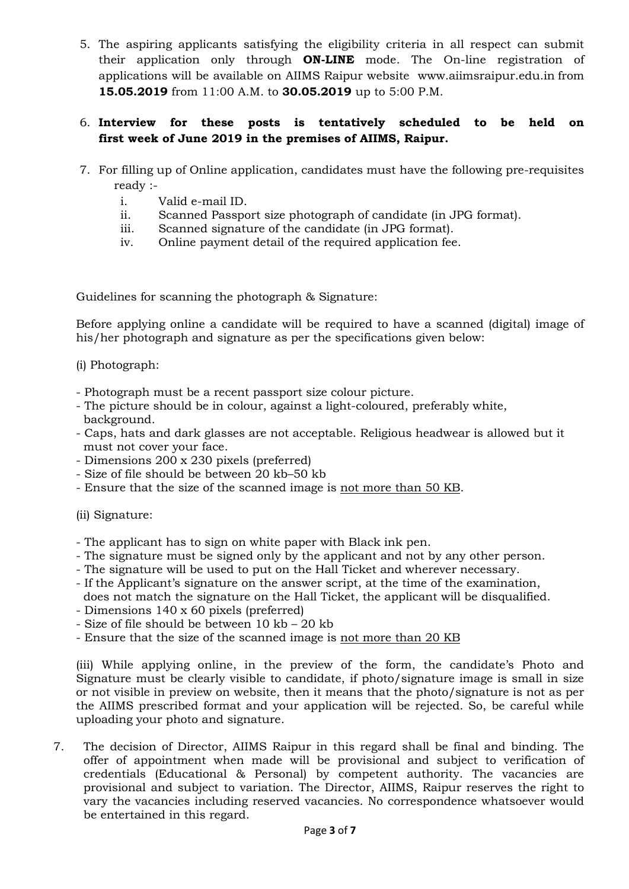5. The aspiring applicants satisfying the eligibility criteria in all respect can submit their application only through **ON-LINE** mode. The On-line registration of applications will be available on AIIMS Raipur website www.aiimsraipur.edu.in from 15.05.2019 from 11:00 A.M. to 30.05.2019 up to 5:00 P.M.

## 6. Interview for these posts is tentatively scheduled to be held on first week of June 2019 in the premises of AIIMS, Raipur.

- 7. For filling up of Online application, candidates must have the following pre-requisites ready :
	- i. Valid e-mail ID.
	- ii. Scanned Passport size photograph of candidate (in JPG format).
	- iii. Scanned signature of the candidate (in JPG format).
	- iv. Online payment detail of the required application fee.

Guidelines for scanning the photograph & Signature:

Before applying online a candidate will be required to have a scanned (digital) image of his/her photograph and signature as per the specifications given below:

### (i) Photograph:

- Photograph must be a recent passport size colour picture.
- The picture should be in colour, against a light-coloured, preferably white, background.
- Caps, hats and dark glasses are not acceptable. Religious headwear is allowed but it must not cover your face.
- Dimensions 200 x 230 pixels (preferred)
- Size of file should be between 20 kb–50 kb
- Ensure that the size of the scanned image is not more than 50 KB.

### (ii) Signature:

- The applicant has to sign on white paper with Black ink pen.
- The signature must be signed only by the applicant and not by any other person.
- The signature will be used to put on the Hall Ticket and wherever necessary.
- If the Applicant's signature on the answer script, at the time of the examination, does not match the signature on the Hall Ticket, the applicant will be disqualified.
- Dimensions 140 x 60 pixels (preferred)
- Size of file should be between 10 kb 20 kb
- Ensure that the size of the scanned image is not more than 20 KB

(iii) While applying online, in the preview of the form, the candidate's Photo and Signature must be clearly visible to candidate, if photo/signature image is small in size or not visible in preview on website, then it means that the photo/signature is not as per the AIIMS prescribed format and your application will be rejected. So, be careful while uploading your photo and signature.

7. The decision of Director, AIIMS Raipur in this regard shall be final and binding. The offer of appointment when made will be provisional and subject to verification of credentials (Educational & Personal) by competent authority. The vacancies are provisional and subject to variation. The Director, AIIMS, Raipur reserves the right to vary the vacancies including reserved vacancies. No correspondence whatsoever would be entertained in this regard.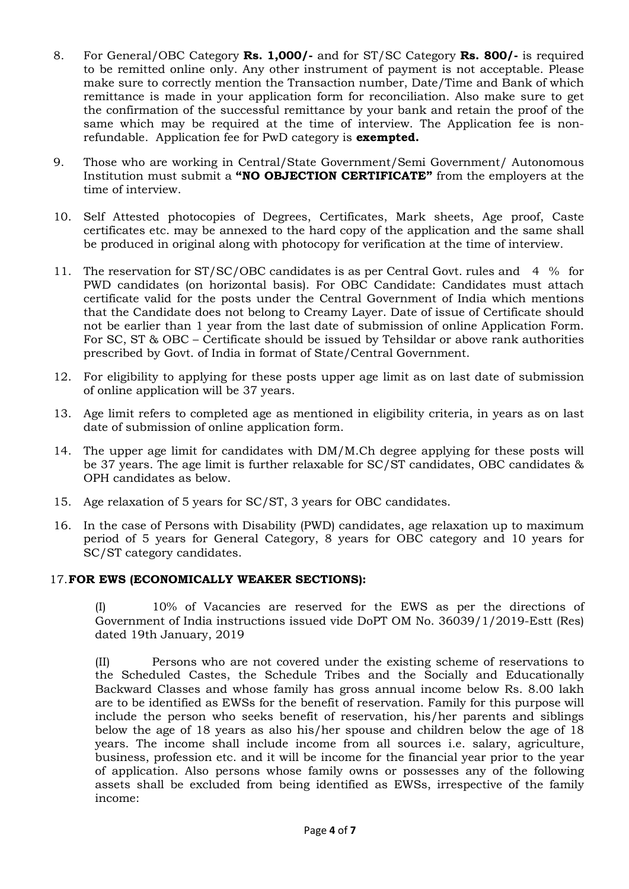- 8. For General/OBC Category Rs. 1,000/- and for ST/SC Category Rs. 800/- is required to be remitted online only. Any other instrument of payment is not acceptable. Please make sure to correctly mention the Transaction number, Date/Time and Bank of which remittance is made in your application form for reconciliation. Also make sure to get the confirmation of the successful remittance by your bank and retain the proof of the same which may be required at the time of interview. The Application fee is nonrefundable. Application fee for PwD category is **exempted.**
- 9. Those who are working in Central/State Government/Semi Government/ Autonomous Institution must submit a "NO OBJECTION CERTIFICATE" from the employers at the time of interview.
- 10. Self Attested photocopies of Degrees, Certificates, Mark sheets, Age proof, Caste certificates etc. may be annexed to the hard copy of the application and the same shall be produced in original along with photocopy for verification at the time of interview.
- 11. The reservation for ST/SC/OBC candidates is as per Central Govt. rules and 4 % for PWD candidates (on horizontal basis). For OBC Candidate: Candidates must attach certificate valid for the posts under the Central Government of India which mentions that the Candidate does not belong to Creamy Layer. Date of issue of Certificate should not be earlier than 1 year from the last date of submission of online Application Form. For SC, ST & OBC – Certificate should be issued by Tehsildar or above rank authorities prescribed by Govt. of India in format of State/Central Government.
- Î 12. For eligibility to applying for these posts upper age limit as on last date of submission of online application will be 37 years.
- 13. Age limit refers to completed age as mentioned in eligibility criteria, in years as on last date of submission of online application form.
- 14. The upper age limit for candidates with DM/M.Ch degree applying for these posts will be 37 years. The age limit is further relaxable for SC/ST candidates, OBC candidates & OPH candidates as below.
- 15. Age relaxation of 5 years for SC/ST, 3 years for OBC candidates.
- 16. In the case of Persons with Disability (PWD) candidates, age relaxation up to maximum period of 5 years for General Category, 8 years for OBC category and 10 years for SC/ST category candidates.

### 17.FOR EWS (ECONOMICALLY WEAKER SECTIONS):

(I) 10% of Vacancies are reserved for the EWS as per the directions of Government of India instructions issued vide DoPT OM No. 36039/1/2019-Estt (Res) dated 19th January, 2019

(II) Persons who are not covered under the existing scheme of reservations to the Scheduled Castes, the Schedule Tribes and the Socially and Educationally Backward Classes and whose family has gross annual income below Rs. 8.00 lakh are to be identified as EWSs for the benefit of reservation. Family for this purpose will include the person who seeks benefit of reservation, his/her parents and siblings below the age of 18 years as also his/her spouse and children below the age of 18 years. The income shall include income from all sources i.e. salary, agriculture, business, profession etc. and it will be income for the financial year prior to the year of application. Also persons whose family owns or possesses any of the following assets shall be excluded from being identified as EWSs, irrespective of the family income: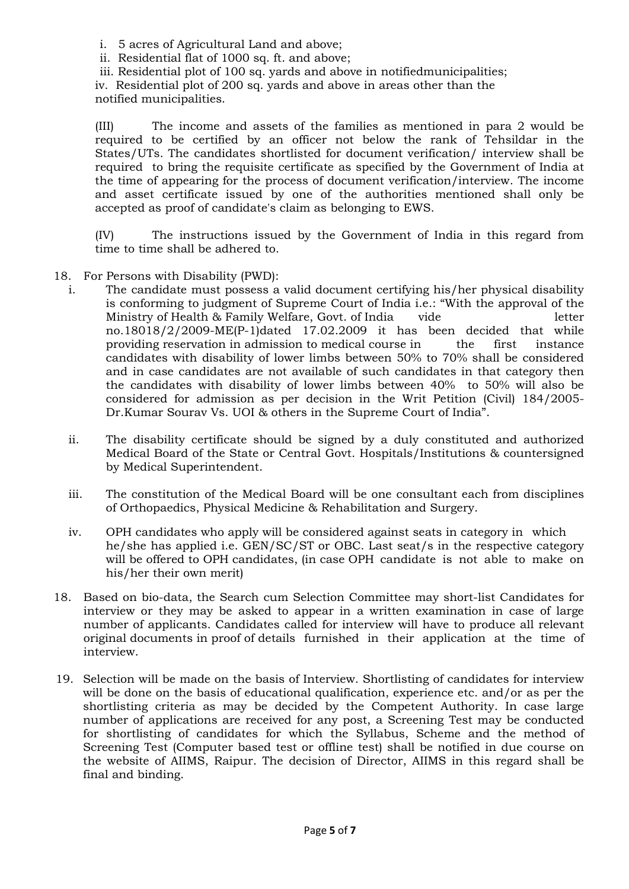i. 5 acres of Agricultural Land and above;

ii. Residential flat of 1000 sq. ft. and above;

iii. Residential plot of 100 sq. yards and above in notifiedmunicipalities;

iv. Residential plot of 200 sq. yards and above in areas other than the notified municipalities.

(III) The income and assets of the families as mentioned in para 2 would be required to be certified by an officer not below the rank of Tehsildar in the States/UTs. The candidates shortlisted for document verification/ interview shall be required to bring the requisite certificate as specified by the Government of India at the time of appearing for the process of document verification/interview. The income and asset certificate issued by one of the authorities mentioned shall only be accepted as proof of candidate's claim as belonging to EWS.

(IV) The instructions issued by the Government of India in this regard from time to time shall be adhered to.

- 18. For Persons with Disability (PWD):
	- i. The candidate must possess a valid document certifying his/her physical disability is conforming to judgment of Supreme Court of India i.e.: "With the approval of the Ministry of Health & Family Welfare, Govt. of India vide letter no.18018/2/2009-ME(P-1)dated 17.02.2009 it has been decided that while providing reservation in admission to medical course in the first instance candidates with disability of lower limbs between 50% to 70% shall be considered and in case candidates are not available of such candidates in that category then the candidates with disability of lower limbs between 40% to 50% will also be considered for admission as per decision in the Writ Petition (Civil) 184/2005- Dr.Kumar Sourav Vs. UOI & others in the Supreme Court of India".
	- ii. The disability certificate should be signed by a duly constituted and authorized Medical Board of the State or Central Govt. Hospitals/Institutions & countersigned by Medical Superintendent.
	- iii. The constitution of the Medical Board will be one consultant each from disciplines of Orthopaedics, Physical Medicine & Rehabilitation and Surgery.
	- iv. OPH candidates who apply will be considered against seats in category in which he/she has applied i.e. GEN/SC/ST or OBC. Last seat/s in the respective category will be offered to OPH candidates, (in case OPH candidate is not able to make on his/her their own merit)
- 18. Based on bio-data, the Search cum Selection Committee may short-list Candidates for interview or they may be asked to appear in a written examination in case of large number of applicants. Candidates called for interview will have to produce all relevant original documents in proof of details furnished in their application at the time of interview.
- 19. Selection will be made on the basis of Interview. Shortlisting of candidates for interview will be done on the basis of educational qualification, experience etc. and/or as per the shortlisting criteria as may be decided by the Competent Authority. In case large number of applications are received for any post, a Screening Test may be conducted for shortlisting of candidates for which the Syllabus, Scheme and the method of Screening Test (Computer based test or offline test) shall be notified in due course on the website of AIIMS, Raipur. The decision of Director, AIIMS in this regard shall be final and binding.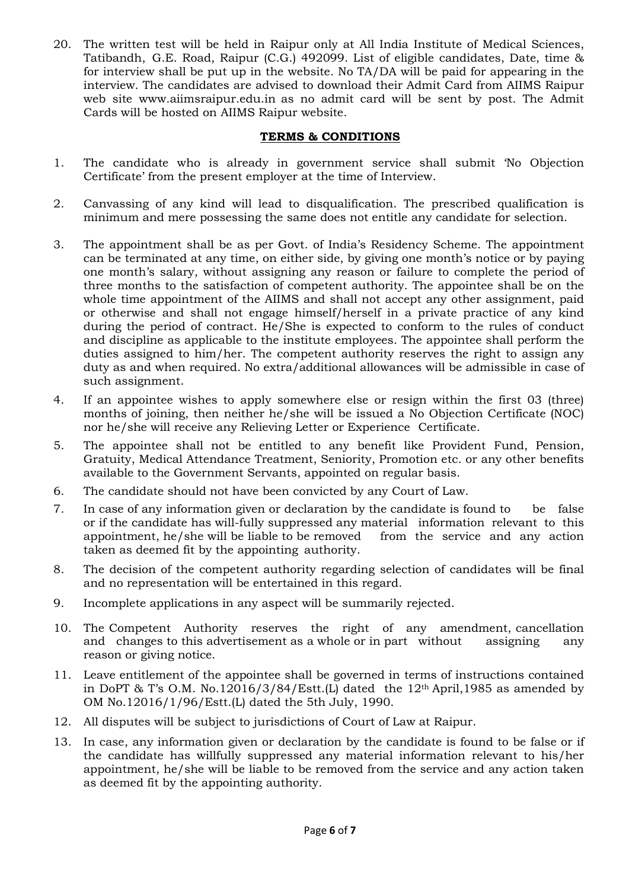20. The written test will be held in Raipur only at All India Institute of Medical Sciences, Tatibandh, G.E. Road, Raipur (C.G.) 492099. List of eligible candidates, Date, time & for interview shall be put up in the website. No TA/DA will be paid for appearing in the interview. The candidates are advised to download their Admit Card from AIIMS Raipur web site www.aiimsraipur.edu.in as no admit card will be sent by post. The Admit Cards will be hosted on AIIMS Raipur website.

### TERMS & CONDITIONS

- 1. The candidate who is already in government service shall submit 'No Objection Certificate' from the present employer at the time of Interview.
- 2. Canvassing of any kind will lead to disqualification. The prescribed qualification is minimum and mere possessing the same does not entitle any candidate for selection.
- 3. The appointment shall be as per Govt. of India's Residency Scheme. The appointment can be terminated at any time, on either side, by giving one month's notice or by paying one month's salary, without assigning any reason or failure to complete the period of three months to the satisfaction of competent authority. The appointee shall be on the whole time appointment of the AIIMS and shall not accept any other assignment, paid or otherwise and shall not engage himself/herself in a private practice of any kind during the period of contract. He/She is expected to conform to the rules of conduct and discipline as applicable to the institute employees. The appointee shall perform the duties assigned to him/her. The competent authority reserves the right to assign any duty as and when required. No extra/additional allowances will be admissible in case of such assignment.
- 4. If an appointee wishes to apply somewhere else or resign within the first 03 (three) months of joining, then neither he/she will be issued a No Objection Certificate (NOC) nor he/she will receive any Relieving Letter or Experience Certificate.
- 5. The appointee shall not be entitled to any benefit like Provident Fund, Pension, Gratuity, Medical Attendance Treatment, Seniority, Promotion etc. or any other benefits available to the Government Servants, appointed on regular basis.
- 6. The candidate should not have been convicted by any Court of Law.
- 7. In case of any information given or declaration by the candidate is found to be false or if the candidate has will-fully suppressed any material information relevant to this appointment, he/she will be liable to be removed from the service and any action taken as deemed fit by the appointing authority.
- 8. The decision of the competent authority regarding selection of candidates will be final and no representation will be entertained in this regard.
- 9. Incomplete applications in any aspect will be summarily rejected.
- 10. The Competent Authority reserves the right of any amendment, cancellation and changes to this advertisement as a whole or in part without assigning any reason or giving notice.
- 11. Leave entitlement of the appointee shall be governed in terms of instructions contained in DoPT & T's O.M. No.12016/3/84/Estt.(L) dated the  $12<sup>th</sup>$  April,1985 as amended by OM No.12016/1/96/Estt.(L) dated the 5th July, 1990.
- 12. All disputes will be subject to jurisdictions of Court of Law at Raipur.
- 13. In case, any information given or declaration by the candidate is found to be false or if the candidate has willfully suppressed any material information relevant to his/her appointment, he/she will be liable to be removed from the service and any action taken as deemed fit by the appointing authority.